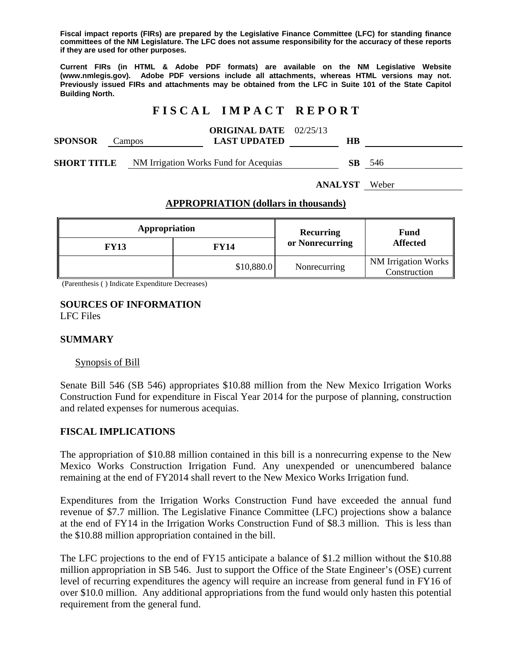**Fiscal impact reports (FIRs) are prepared by the Legislative Finance Committee (LFC) for standing finance committees of the NM Legislature. The LFC does not assume responsibility for the accuracy of these reports if they are used for other purposes.** 

**Current FIRs (in HTML & Adobe PDF formats) are available on the NM Legislative Website (www.nmlegis.gov). Adobe PDF versions include all attachments, whereas HTML versions may not. Previously issued FIRs and attachments may be obtained from the LFC in Suite 101 of the State Capitol Building North.**

# **F I S C A L I M P A C T R E P O R T**

| <b>SPONSOR</b>     | Campos | <b>ORIGINAL DATE</b> 02/25/13<br><b>LAST UPDATED</b> | HВ |     |
|--------------------|--------|------------------------------------------------------|----|-----|
| <b>SHORT TITLE</b> |        | NM Irrigation Works Fund for Acequias                | SB | 546 |

**ANALYST** Weber

#### **APPROPRIATION (dollars in thousands)**

| Appropriation |             | <b>Recurring</b> | Fund<br><b>Affected</b>                         |
|---------------|-------------|------------------|-------------------------------------------------|
| <b>FY13</b>   | <b>FY14</b> | or Nonrecurring  |                                                 |
|               | \$10,880.0  | Nonrecurring     | NM Irrigation Works $\parallel$<br>Construction |

(Parenthesis ( ) Indicate Expenditure Decreases)

#### **SOURCES OF INFORMATION**  LFC Files

### **SUMMARY**

#### Synopsis of Bill

Senate Bill 546 (SB 546) appropriates \$10.88 million from the New Mexico Irrigation Works Construction Fund for expenditure in Fiscal Year 2014 for the purpose of planning, construction and related expenses for numerous acequias.

### **FISCAL IMPLICATIONS**

The appropriation of \$10.88 million contained in this bill is a nonrecurring expense to the New Mexico Works Construction Irrigation Fund. Any unexpended or unencumbered balance remaining at the end of FY2014 shall revert to the New Mexico Works Irrigation fund.

Expenditures from the Irrigation Works Construction Fund have exceeded the annual fund revenue of \$7.7 million. The Legislative Finance Committee (LFC) projections show a balance at the end of FY14 in the Irrigation Works Construction Fund of \$8.3 million. This is less than the \$10.88 million appropriation contained in the bill.

The LFC projections to the end of FY15 anticipate a balance of \$1.2 million without the \$10.88 million appropriation in SB 546. Just to support the Office of the State Engineer's (OSE) current level of recurring expenditures the agency will require an increase from general fund in FY16 of over \$10.0 million. Any additional appropriations from the fund would only hasten this potential requirement from the general fund.